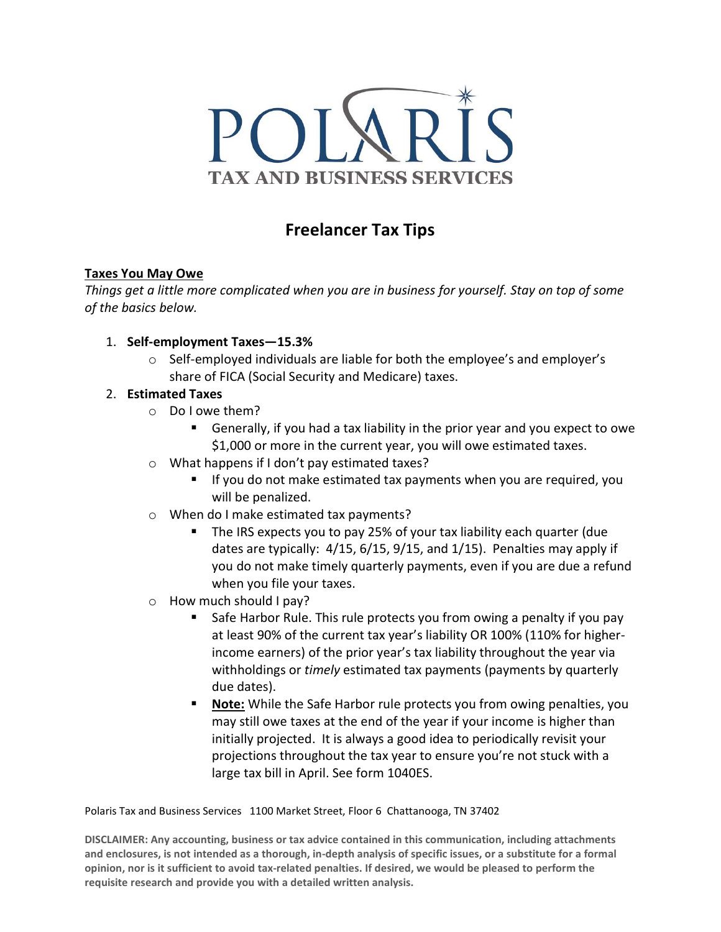

# Freelancer Tax Tips

## Taxes You May Owe

Things get a little more complicated when you are in business for yourself. Stay on top of some of the basics below.

- 1. Self-employment Taxes—15.3%
	- $\circ$  Self-employed individuals are liable for both the employee's and employer's share of FICA (Social Security and Medicare) taxes.

# 2. Estimated Taxes

- o Do I owe them?
	- Generally, if you had a tax liability in the prior year and you expect to owe \$1,000 or more in the current year, you will owe estimated taxes.
- o What happens if I don't pay estimated taxes?
	- If you do not make estimated tax payments when you are required, you will be penalized.
- o When do I make estimated tax payments?
	- The IRS expects you to pay 25% of your tax liability each quarter (due dates are typically: 4/15, 6/15, 9/15, and 1/15). Penalties may apply if you do not make timely quarterly payments, even if you are due a refund when you file your taxes.
- o How much should I pay?
	- Safe Harbor Rule. This rule protects you from owing a penalty if you pay at least 90% of the current tax year's liability OR 100% (110% for higherincome earners) of the prior year's tax liability throughout the year via withholdings or timely estimated tax payments (payments by quarterly due dates).
	- Note: While the Safe Harbor rule protects you from owing penalties, you may still owe taxes at the end of the year if your income is higher than initially projected. It is always a good idea to periodically revisit your projections throughout the tax year to ensure you're not stuck with a large tax bill in April. See form 1040ES.

Polaris Tax and Business Services 1100 Market Street, Floor 6 Chattanooga, TN 37402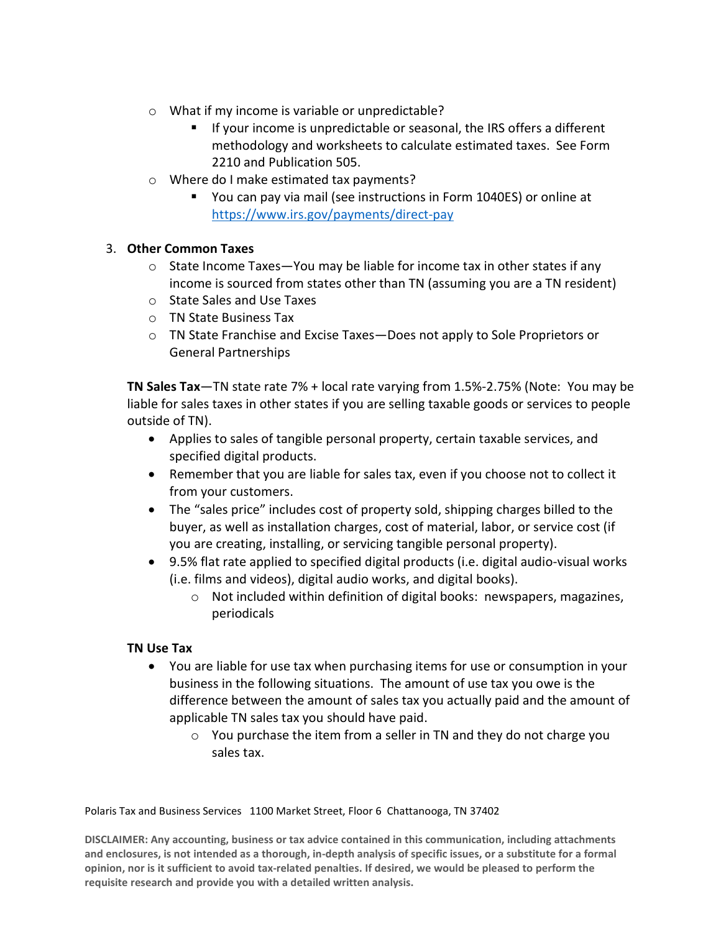- o What if my income is variable or unpredictable?
	- **If your income is unpredictable or seasonal, the IRS offers a different** methodology and worksheets to calculate estimated taxes. See Form 2210 and Publication 505.
- o Where do I make estimated tax payments?
	- You can pay via mail (see instructions in Form 1040ES) or online at https://www.irs.gov/payments/direct-pay

## 3. Other Common Taxes

- $\circ$  State Income Taxes—You may be liable for income tax in other states if any income is sourced from states other than TN (assuming you are a TN resident)
- o State Sales and Use Taxes
- o TN State Business Tax
- o TN State Franchise and Excise Taxes—Does not apply to Sole Proprietors or General Partnerships

TN Sales Tax—TN state rate 7% + local rate varying from 1.5%-2.75% (Note: You may be liable for sales taxes in other states if you are selling taxable goods or services to people outside of TN).

- Applies to sales of tangible personal property, certain taxable services, and specified digital products.
- Remember that you are liable for sales tax, even if you choose not to collect it from your customers.
- The "sales price" includes cost of property sold, shipping charges billed to the buyer, as well as installation charges, cost of material, labor, or service cost (if you are creating, installing, or servicing tangible personal property).
- 9.5% flat rate applied to specified digital products (i.e. digital audio-visual works (i.e. films and videos), digital audio works, and digital books).
	- o Not included within definition of digital books: newspapers, magazines, periodicals

#### TN Use Tax

- You are liable for use tax when purchasing items for use or consumption in your business in the following situations. The amount of use tax you owe is the difference between the amount of sales tax you actually paid and the amount of applicable TN sales tax you should have paid.
	- $\circ$  You purchase the item from a seller in TN and they do not charge you sales tax.

Polaris Tax and Business Services 1100 Market Street, Floor 6 Chattanooga, TN 37402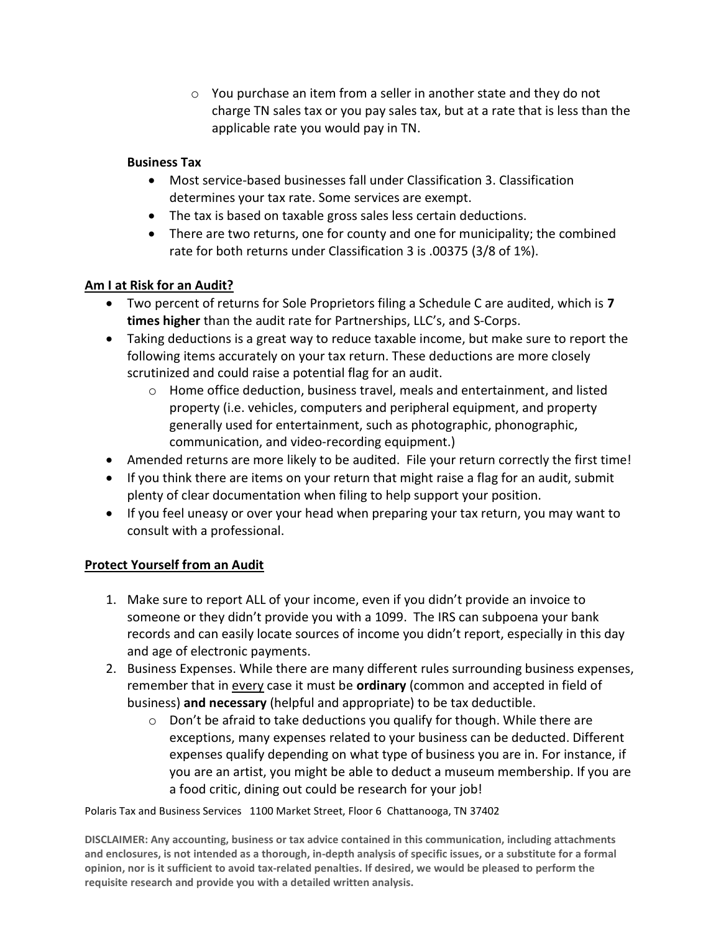$\circ$  You purchase an item from a seller in another state and they do not charge TN sales tax or you pay sales tax, but at a rate that is less than the applicable rate you would pay in TN.

## Business Tax

- Most service-based businesses fall under Classification 3. Classification determines your tax rate. Some services are exempt.
- The tax is based on taxable gross sales less certain deductions.
- There are two returns, one for county and one for municipality; the combined rate for both returns under Classification 3 is .00375 (3/8 of 1%).

# Am I at Risk for an Audit?

- Two percent of returns for Sole Proprietors filing a Schedule C are audited, which is 7 times higher than the audit rate for Partnerships, LLC's, and S-Corps.
- Taking deductions is a great way to reduce taxable income, but make sure to report the following items accurately on your tax return. These deductions are more closely scrutinized and could raise a potential flag for an audit.
	- $\circ$  Home office deduction, business travel, meals and entertainment, and listed property (i.e. vehicles, computers and peripheral equipment, and property generally used for entertainment, such as photographic, phonographic, communication, and video-recording equipment.)
- Amended returns are more likely to be audited. File your return correctly the first time!
- If you think there are items on your return that might raise a flag for an audit, submit plenty of clear documentation when filing to help support your position.
- If you feel uneasy or over your head when preparing your tax return, you may want to consult with a professional.

# Protect Yourself from an Audit

- 1. Make sure to report ALL of your income, even if you didn't provide an invoice to someone or they didn't provide you with a 1099. The IRS can subpoena your bank records and can easily locate sources of income you didn't report, especially in this day and age of electronic payments.
- 2. Business Expenses. While there are many different rules surrounding business expenses, remember that in every case it must be ordinary (common and accepted in field of business) and necessary (helpful and appropriate) to be tax deductible.
	- $\circ$  Don't be afraid to take deductions you qualify for though. While there are exceptions, many expenses related to your business can be deducted. Different expenses qualify depending on what type of business you are in. For instance, if you are an artist, you might be able to deduct a museum membership. If you are a food critic, dining out could be research for your job!

Polaris Tax and Business Services 1100 Market Street, Floor 6 Chattanooga, TN 37402